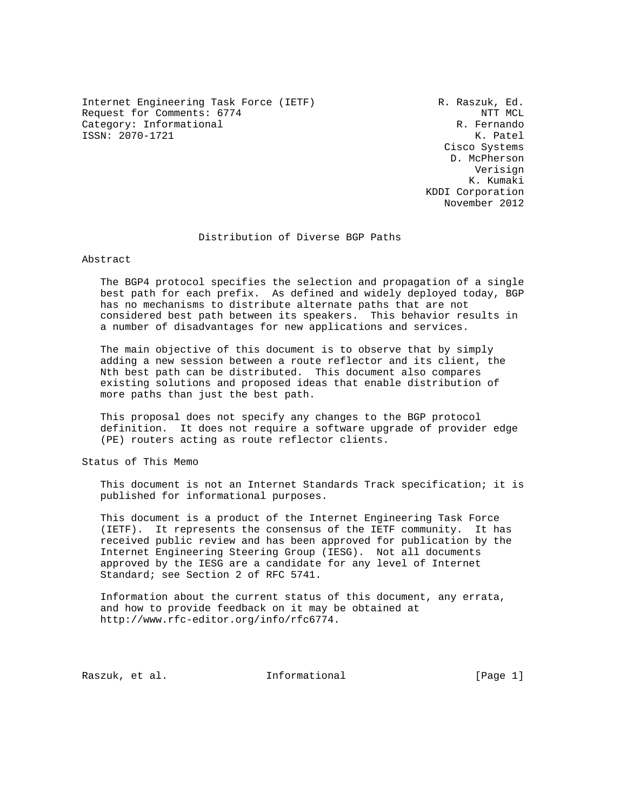Internet Engineering Task Force (IETF) R. Raszuk, Ed. Request for Comments: 6774 NTT MCL و NTT MCL و NTT MCL و NTT MCL و NTT MCL و NTT MCL و NTT MCL و NTT MCL و NTT Category: Informational ISSN: 2070-1721 K. Patel

 Cisco Systems D. McPherson Verisign K. Kumaki KDDI Corporation November 2012

## Distribution of Diverse BGP Paths

Abstract

 The BGP4 protocol specifies the selection and propagation of a single best path for each prefix. As defined and widely deployed today, BGP has no mechanisms to distribute alternate paths that are not considered best path between its speakers. This behavior results in a number of disadvantages for new applications and services.

 The main objective of this document is to observe that by simply adding a new session between a route reflector and its client, the Nth best path can be distributed. This document also compares existing solutions and proposed ideas that enable distribution of more paths than just the best path.

 This proposal does not specify any changes to the BGP protocol definition. It does not require a software upgrade of provider edge (PE) routers acting as route reflector clients.

Status of This Memo

 This document is not an Internet Standards Track specification; it is published for informational purposes.

 This document is a product of the Internet Engineering Task Force (IETF). It represents the consensus of the IETF community. It has received public review and has been approved for publication by the Internet Engineering Steering Group (IESG). Not all documents approved by the IESG are a candidate for any level of Internet Standard; see Section 2 of RFC 5741.

 Information about the current status of this document, any errata, and how to provide feedback on it may be obtained at http://www.rfc-editor.org/info/rfc6774.

Raszuk, et al. 10. Informational 1. [Page 1]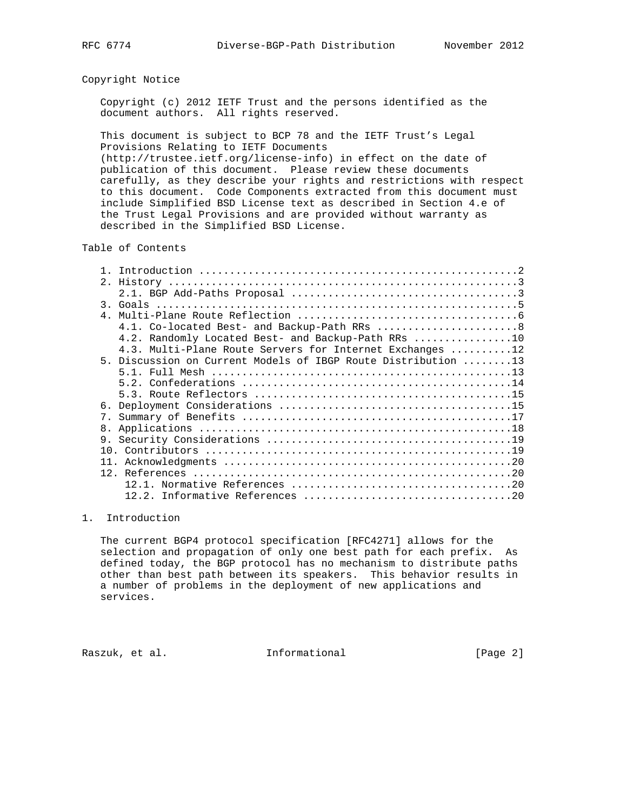## Copyright Notice

 Copyright (c) 2012 IETF Trust and the persons identified as the document authors. All rights reserved.

 This document is subject to BCP 78 and the IETF Trust's Legal Provisions Relating to IETF Documents (http://trustee.ietf.org/license-info) in effect on the date of

 publication of this document. Please review these documents carefully, as they describe your rights and restrictions with respect to this document. Code Components extracted from this document must include Simplified BSD License text as described in Section 4.e of the Trust Legal Provisions and are provided without warranty as described in the Simplified BSD License.

Table of Contents

| $\overline{4}$ |                                                               |
|----------------|---------------------------------------------------------------|
|                | 4.1. Co-located Best- and Backup-Path RRs 8                   |
|                | 4.2. Randomly Located Best- and Backup-Path RRs 10            |
|                | 4.3. Multi-Plane Route Servers for Internet Exchanges 12      |
|                | 5. Discussion on Current Models of IBGP Route Distribution 13 |
|                |                                                               |
|                |                                                               |
|                |                                                               |
|                |                                                               |
| 7 <sub>1</sub> |                                                               |
| 8.             |                                                               |
| 9.             |                                                               |
|                |                                                               |
|                |                                                               |
| 11.            |                                                               |
|                |                                                               |
|                |                                                               |
|                |                                                               |

## 1. Introduction

 The current BGP4 protocol specification [RFC4271] allows for the selection and propagation of only one best path for each prefix. As defined today, the BGP protocol has no mechanism to distribute paths other than best path between its speakers. This behavior results in a number of problems in the deployment of new applications and services.

Raszuk, et al. 1nformational 1999 [Page 2]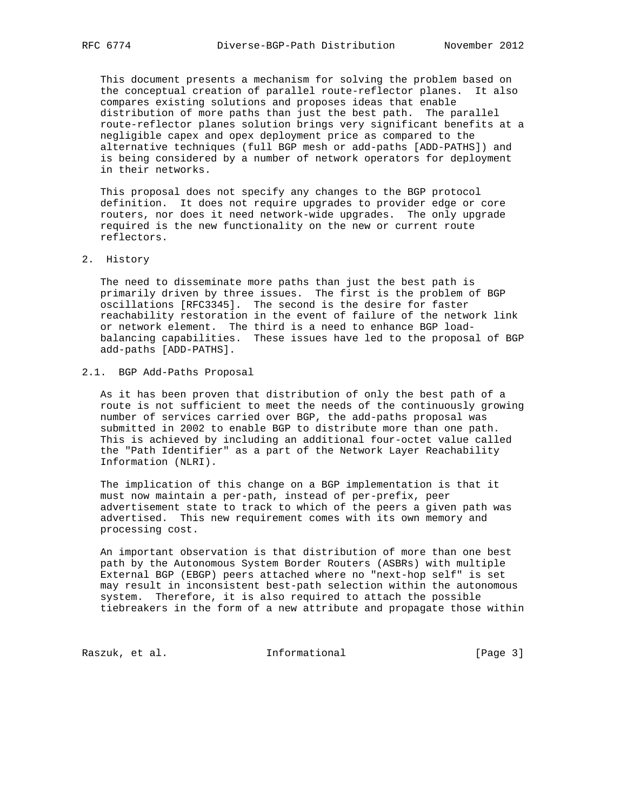This document presents a mechanism for solving the problem based on the conceptual creation of parallel route-reflector planes. It also compares existing solutions and proposes ideas that enable distribution of more paths than just the best path. The parallel route-reflector planes solution brings very significant benefits at a negligible capex and opex deployment price as compared to the alternative techniques (full BGP mesh or add-paths [ADD-PATHS]) and is being considered by a number of network operators for deployment in their networks.

 This proposal does not specify any changes to the BGP protocol definition. It does not require upgrades to provider edge or core routers, nor does it need network-wide upgrades. The only upgrade required is the new functionality on the new or current route reflectors.

## 2. History

 The need to disseminate more paths than just the best path is primarily driven by three issues. The first is the problem of BGP oscillations [RFC3345]. The second is the desire for faster reachability restoration in the event of failure of the network link or network element. The third is a need to enhance BGP load balancing capabilities. These issues have led to the proposal of BGP add-paths [ADD-PATHS].

# 2.1. BGP Add-Paths Proposal

 As it has been proven that distribution of only the best path of a route is not sufficient to meet the needs of the continuously growing number of services carried over BGP, the add-paths proposal was submitted in 2002 to enable BGP to distribute more than one path. This is achieved by including an additional four-octet value called the "Path Identifier" as a part of the Network Layer Reachability Information (NLRI).

 The implication of this change on a BGP implementation is that it must now maintain a per-path, instead of per-prefix, peer advertisement state to track to which of the peers a given path was advertised. This new requirement comes with its own memory and processing cost.

 An important observation is that distribution of more than one best path by the Autonomous System Border Routers (ASBRs) with multiple External BGP (EBGP) peers attached where no "next-hop self" is set may result in inconsistent best-path selection within the autonomous system. Therefore, it is also required to attach the possible tiebreakers in the form of a new attribute and propagate those within

Raszuk, et al. 1nformational 1999 [Page 3]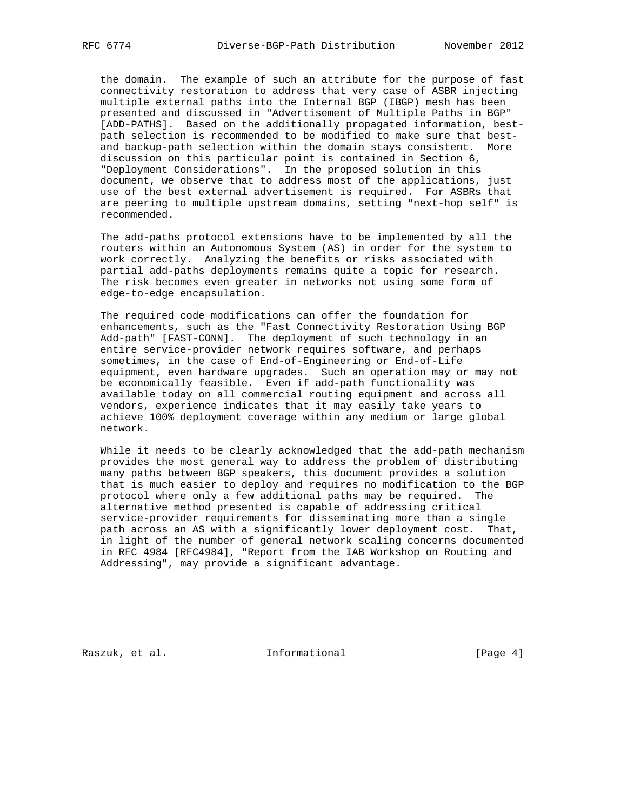the domain. The example of such an attribute for the purpose of fast connectivity restoration to address that very case of ASBR injecting multiple external paths into the Internal BGP (IBGP) mesh has been presented and discussed in "Advertisement of Multiple Paths in BGP" [ADD-PATHS]. Based on the additionally propagated information, best path selection is recommended to be modified to make sure that best and backup-path selection within the domain stays consistent. More discussion on this particular point is contained in Section 6, "Deployment Considerations". In the proposed solution in this document, we observe that to address most of the applications, just use of the best external advertisement is required. For ASBRs that are peering to multiple upstream domains, setting "next-hop self" is recommended.

 The add-paths protocol extensions have to be implemented by all the routers within an Autonomous System (AS) in order for the system to work correctly. Analyzing the benefits or risks associated with partial add-paths deployments remains quite a topic for research. The risk becomes even greater in networks not using some form of edge-to-edge encapsulation.

 The required code modifications can offer the foundation for enhancements, such as the "Fast Connectivity Restoration Using BGP Add-path" [FAST-CONN]. The deployment of such technology in an entire service-provider network requires software, and perhaps sometimes, in the case of End-of-Engineering or End-of-Life equipment, even hardware upgrades. Such an operation may or may not be economically feasible. Even if add-path functionality was available today on all commercial routing equipment and across all vendors, experience indicates that it may easily take years to achieve 100% deployment coverage within any medium or large global network.

 While it needs to be clearly acknowledged that the add-path mechanism provides the most general way to address the problem of distributing many paths between BGP speakers, this document provides a solution that is much easier to deploy and requires no modification to the BGP protocol where only a few additional paths may be required. The alternative method presented is capable of addressing critical service-provider requirements for disseminating more than a single path across an AS with a significantly lower deployment cost. That, in light of the number of general network scaling concerns documented in RFC 4984 [RFC4984], "Report from the IAB Workshop on Routing and Addressing", may provide a significant advantage.

Raszuk, et al. 1nformational [Page 4]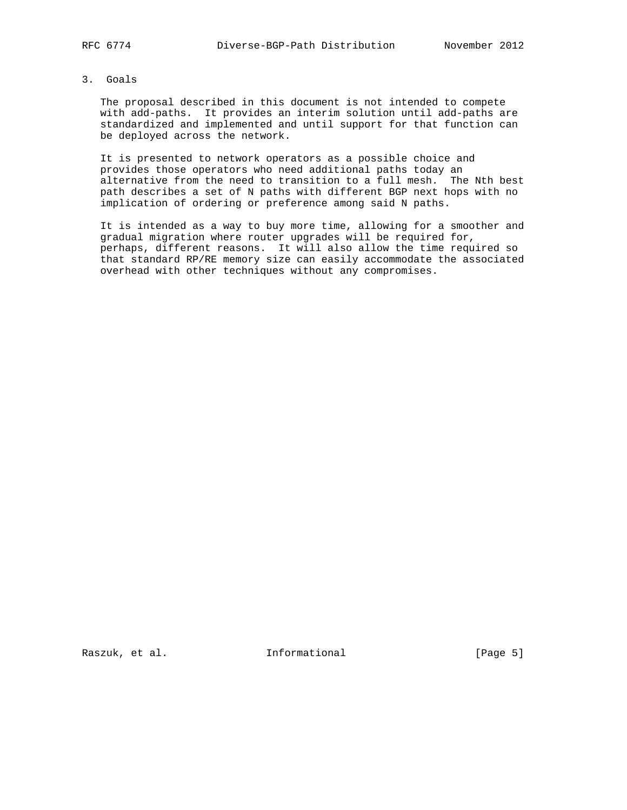## 3. Goals

 The proposal described in this document is not intended to compete with add-paths. It provides an interim solution until add-paths are standardized and implemented and until support for that function can be deployed across the network.

 It is presented to network operators as a possible choice and provides those operators who need additional paths today an alternative from the need to transition to a full mesh. The Nth best path describes a set of N paths with different BGP next hops with no implication of ordering or preference among said N paths.

 It is intended as a way to buy more time, allowing for a smoother and gradual migration where router upgrades will be required for, perhaps, different reasons. It will also allow the time required so that standard RP/RE memory size can easily accommodate the associated overhead with other techniques without any compromises.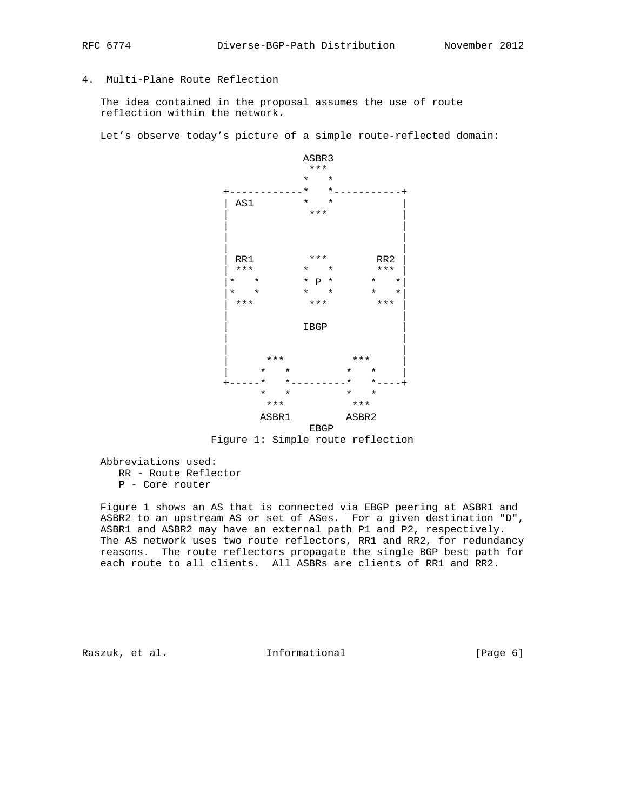# 4. Multi-Plane Route Reflection

 The idea contained in the proposal assumes the use of route reflection within the network.

Let's observe today's picture of a simple route-reflected domain:





 Abbreviations used: RR - Route Reflector P - Core router

 Figure 1 shows an AS that is connected via EBGP peering at ASBR1 and ASBR2 to an upstream AS or set of ASes. For a given destination "D", ASBR1 and ASBR2 may have an external path P1 and P2, respectively. The AS network uses two route reflectors, RR1 and RR2, for redundancy reasons. The route reflectors propagate the single BGP best path for each route to all clients. All ASBRs are clients of RR1 and RR2.

Raszuk, et al. 1nformational 1999 [Page 6]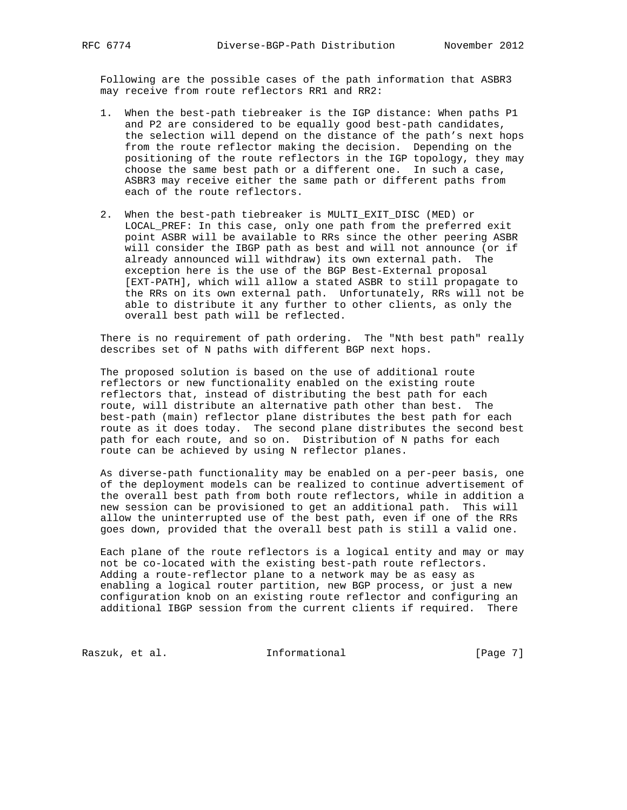Following are the possible cases of the path information that ASBR3 may receive from route reflectors RR1 and RR2:

- 1. When the best-path tiebreaker is the IGP distance: When paths P1 and P2 are considered to be equally good best-path candidates, the selection will depend on the distance of the path's next hops from the route reflector making the decision. Depending on the positioning of the route reflectors in the IGP topology, they may choose the same best path or a different one. In such a case, ASBR3 may receive either the same path or different paths from each of the route reflectors.
- 2. When the best-path tiebreaker is MULTI\_EXIT\_DISC (MED) or LOCAL\_PREF: In this case, only one path from the preferred exit point ASBR will be available to RRs since the other peering ASBR will consider the IBGP path as best and will not announce (or if already announced will withdraw) its own external path. The exception here is the use of the BGP Best-External proposal [EXT-PATH], which will allow a stated ASBR to still propagate to the RRs on its own external path. Unfortunately, RRs will not be able to distribute it any further to other clients, as only the overall best path will be reflected.

 There is no requirement of path ordering. The "Nth best path" really describes set of N paths with different BGP next hops.

 The proposed solution is based on the use of additional route reflectors or new functionality enabled on the existing route reflectors that, instead of distributing the best path for each route, will distribute an alternative path other than best. The best-path (main) reflector plane distributes the best path for each route as it does today. The second plane distributes the second best path for each route, and so on. Distribution of N paths for each route can be achieved by using N reflector planes.

 As diverse-path functionality may be enabled on a per-peer basis, one of the deployment models can be realized to continue advertisement of the overall best path from both route reflectors, while in addition a new session can be provisioned to get an additional path. This will allow the uninterrupted use of the best path, even if one of the RRs goes down, provided that the overall best path is still a valid one.

 Each plane of the route reflectors is a logical entity and may or may not be co-located with the existing best-path route reflectors. Adding a route-reflector plane to a network may be as easy as enabling a logical router partition, new BGP process, or just a new configuration knob on an existing route reflector and configuring an additional IBGP session from the current clients if required. There

Raszuk, et al. 10 Informational 1999 [Page 7]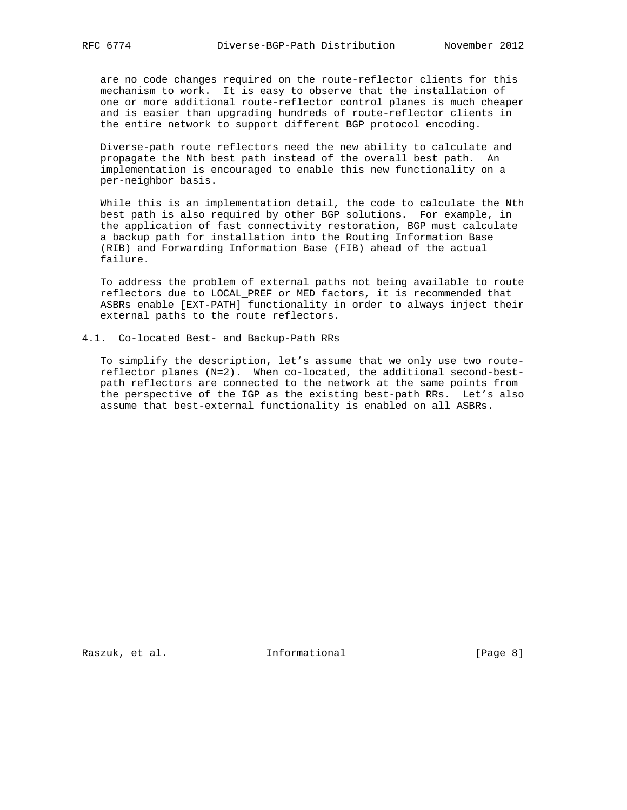are no code changes required on the route-reflector clients for this mechanism to work. It is easy to observe that the installation of one or more additional route-reflector control planes is much cheaper and is easier than upgrading hundreds of route-reflector clients in the entire network to support different BGP protocol encoding.

 Diverse-path route reflectors need the new ability to calculate and propagate the Nth best path instead of the overall best path. An implementation is encouraged to enable this new functionality on a per-neighbor basis.

 While this is an implementation detail, the code to calculate the Nth best path is also required by other BGP solutions. For example, in the application of fast connectivity restoration, BGP must calculate a backup path for installation into the Routing Information Base (RIB) and Forwarding Information Base (FIB) ahead of the actual failure.

 To address the problem of external paths not being available to route reflectors due to LOCAL\_PREF or MED factors, it is recommended that ASBRs enable [EXT-PATH] functionality in order to always inject their external paths to the route reflectors.

4.1. Co-located Best- and Backup-Path RRs

 To simplify the description, let's assume that we only use two route reflector planes (N=2). When co-located, the additional second-best path reflectors are connected to the network at the same points from the perspective of the IGP as the existing best-path RRs. Let's also assume that best-external functionality is enabled on all ASBRs.

Raszuk, et al. 1nformational [Page 8]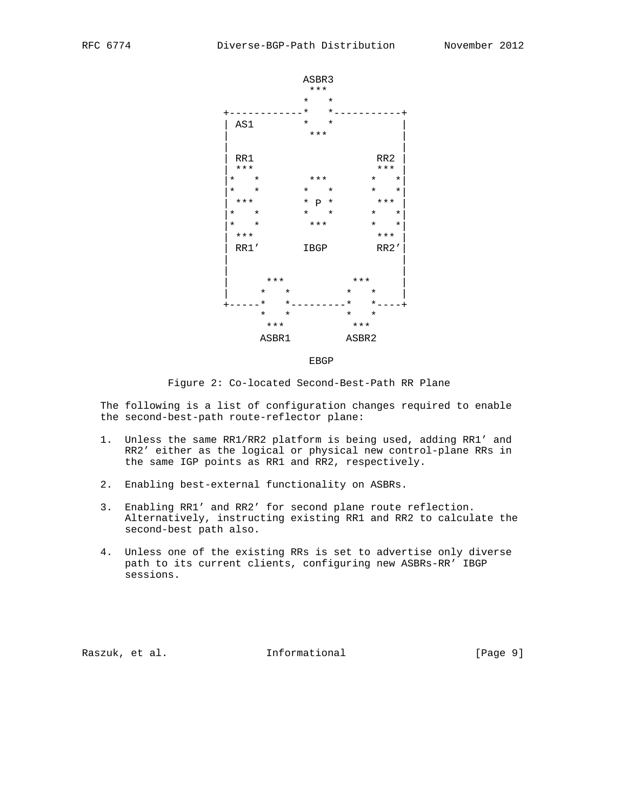

Figure 2: Co-located Second-Best-Path RR Plane

 The following is a list of configuration changes required to enable the second-best-path route-reflector plane:

- 1. Unless the same RR1/RR2 platform is being used, adding RR1' and RR2' either as the logical or physical new control-plane RRs in the same IGP points as RR1 and RR2, respectively.
- 2. Enabling best-external functionality on ASBRs.
- 3. Enabling RR1' and RR2' for second plane route reflection. Alternatively, instructing existing RR1 and RR2 to calculate the second-best path also.
- 4. Unless one of the existing RRs is set to advertise only diverse path to its current clients, configuring new ASBRs-RR' IBGP sessions.

Raszuk, et al. Informational [Page 9]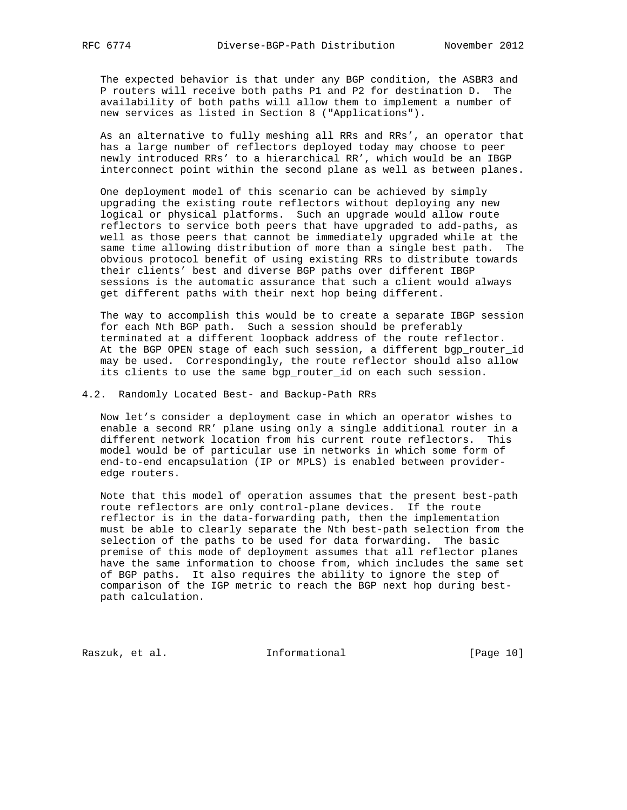The expected behavior is that under any BGP condition, the ASBR3 and P routers will receive both paths P1 and P2 for destination D. The availability of both paths will allow them to implement a number of new services as listed in Section 8 ("Applications").

 As an alternative to fully meshing all RRs and RRs', an operator that has a large number of reflectors deployed today may choose to peer newly introduced RRs' to a hierarchical RR', which would be an IBGP interconnect point within the second plane as well as between planes.

 One deployment model of this scenario can be achieved by simply upgrading the existing route reflectors without deploying any new logical or physical platforms. Such an upgrade would allow route reflectors to service both peers that have upgraded to add-paths, as well as those peers that cannot be immediately upgraded while at the same time allowing distribution of more than a single best path. The obvious protocol benefit of using existing RRs to distribute towards their clients' best and diverse BGP paths over different IBGP sessions is the automatic assurance that such a client would always get different paths with their next hop being different.

 The way to accomplish this would be to create a separate IBGP session for each Nth BGP path. Such a session should be preferably terminated at a different loopback address of the route reflector. At the BGP OPEN stage of each such session, a different bgp\_router\_id may be used. Correspondingly, the route reflector should also allow its clients to use the same bgp\_router\_id on each such session.

4.2. Randomly Located Best- and Backup-Path RRs

 Now let's consider a deployment case in which an operator wishes to enable a second RR' plane using only a single additional router in a different network location from his current route reflectors. This model would be of particular use in networks in which some form of end-to-end encapsulation (IP or MPLS) is enabled between provider edge routers.

 Note that this model of operation assumes that the present best-path route reflectors are only control-plane devices. If the route reflector is in the data-forwarding path, then the implementation must be able to clearly separate the Nth best-path selection from the selection of the paths to be used for data forwarding. The basic premise of this mode of deployment assumes that all reflector planes have the same information to choose from, which includes the same set of BGP paths. It also requires the ability to ignore the step of comparison of the IGP metric to reach the BGP next hop during best path calculation.

Raszuk, et al. 10 mm informational [Page 10]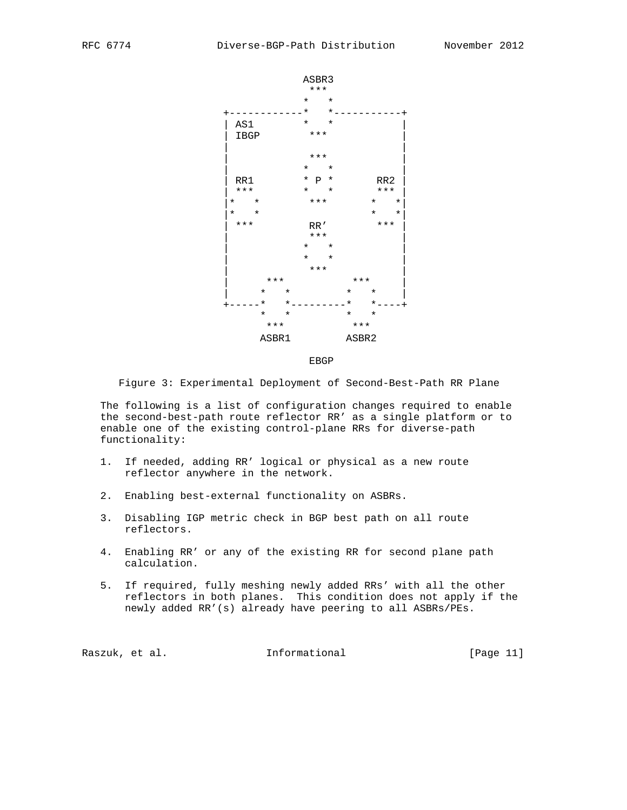

Figure 3: Experimental Deployment of Second-Best-Path RR Plane

 The following is a list of configuration changes required to enable the second-best-path route reflector RR' as a single platform or to enable one of the existing control-plane RRs for diverse-path functionality:

- 1. If needed, adding RR' logical or physical as a new route reflector anywhere in the network.
- 2. Enabling best-external functionality on ASBRs.
- 3. Disabling IGP metric check in BGP best path on all route reflectors.
- 4. Enabling RR' or any of the existing RR for second plane path calculation.
- 5. If required, fully meshing newly added RRs' with all the other reflectors in both planes. This condition does not apply if the newly added RR'(s) already have peering to all ASBRs/PEs.

Raszuk, et al. Informational [Page 11]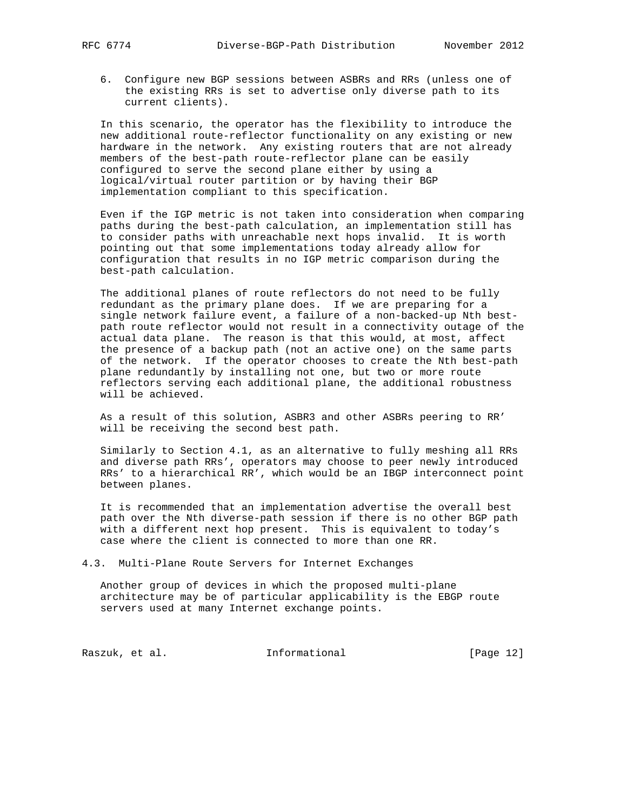6. Configure new BGP sessions between ASBRs and RRs (unless one of the existing RRs is set to advertise only diverse path to its current clients).

 In this scenario, the operator has the flexibility to introduce the new additional route-reflector functionality on any existing or new hardware in the network. Any existing routers that are not already members of the best-path route-reflector plane can be easily configured to serve the second plane either by using a logical/virtual router partition or by having their BGP implementation compliant to this specification.

 Even if the IGP metric is not taken into consideration when comparing paths during the best-path calculation, an implementation still has to consider paths with unreachable next hops invalid. It is worth pointing out that some implementations today already allow for configuration that results in no IGP metric comparison during the best-path calculation.

 The additional planes of route reflectors do not need to be fully redundant as the primary plane does. If we are preparing for a single network failure event, a failure of a non-backed-up Nth best path route reflector would not result in a connectivity outage of the actual data plane. The reason is that this would, at most, affect the presence of a backup path (not an active one) on the same parts of the network. If the operator chooses to create the Nth best-path plane redundantly by installing not one, but two or more route reflectors serving each additional plane, the additional robustness will be achieved.

 As a result of this solution, ASBR3 and other ASBRs peering to RR' will be receiving the second best path.

 Similarly to Section 4.1, as an alternative to fully meshing all RRs and diverse path RRs', operators may choose to peer newly introduced RRs' to a hierarchical RR', which would be an IBGP interconnect point between planes.

 It is recommended that an implementation advertise the overall best path over the Nth diverse-path session if there is no other BGP path with a different next hop present. This is equivalent to today's case where the client is connected to more than one RR.

4.3. Multi-Plane Route Servers for Internet Exchanges

 Another group of devices in which the proposed multi-plane architecture may be of particular applicability is the EBGP route servers used at many Internet exchange points.

Raszuk, et al. 1nformational [Page 12]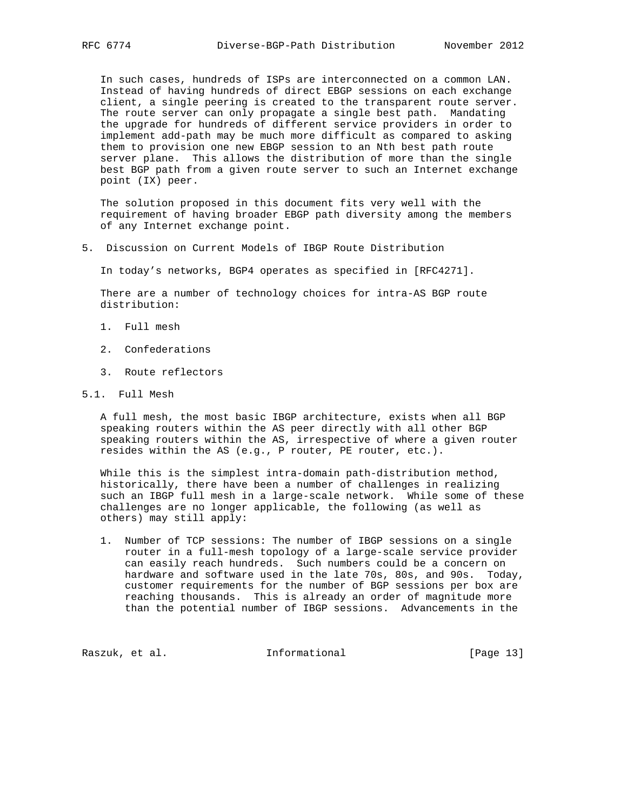In such cases, hundreds of ISPs are interconnected on a common LAN. Instead of having hundreds of direct EBGP sessions on each exchange client, a single peering is created to the transparent route server. The route server can only propagate a single best path. Mandating the upgrade for hundreds of different service providers in order to implement add-path may be much more difficult as compared to asking them to provision one new EBGP session to an Nth best path route server plane. This allows the distribution of more than the single best BGP path from a given route server to such an Internet exchange point (IX) peer.

 The solution proposed in this document fits very well with the requirement of having broader EBGP path diversity among the members of any Internet exchange point.

5. Discussion on Current Models of IBGP Route Distribution

In today's networks, BGP4 operates as specified in [RFC4271].

 There are a number of technology choices for intra-AS BGP route distribution:

- 1. Full mesh
- 2. Confederations
- 3. Route reflectors
- 5.1. Full Mesh

 A full mesh, the most basic IBGP architecture, exists when all BGP speaking routers within the AS peer directly with all other BGP speaking routers within the AS, irrespective of where a given router resides within the AS (e.g., P router, PE router, etc.).

 While this is the simplest intra-domain path-distribution method, historically, there have been a number of challenges in realizing such an IBGP full mesh in a large-scale network. While some of these challenges are no longer applicable, the following (as well as others) may still apply:

 1. Number of TCP sessions: The number of IBGP sessions on a single router in a full-mesh topology of a large-scale service provider can easily reach hundreds. Such numbers could be a concern on hardware and software used in the late 70s, 80s, and 90s. Today, customer requirements for the number of BGP sessions per box are reaching thousands. This is already an order of magnitude more than the potential number of IBGP sessions. Advancements in the

Raszuk, et al. 10 Informational [Page 13]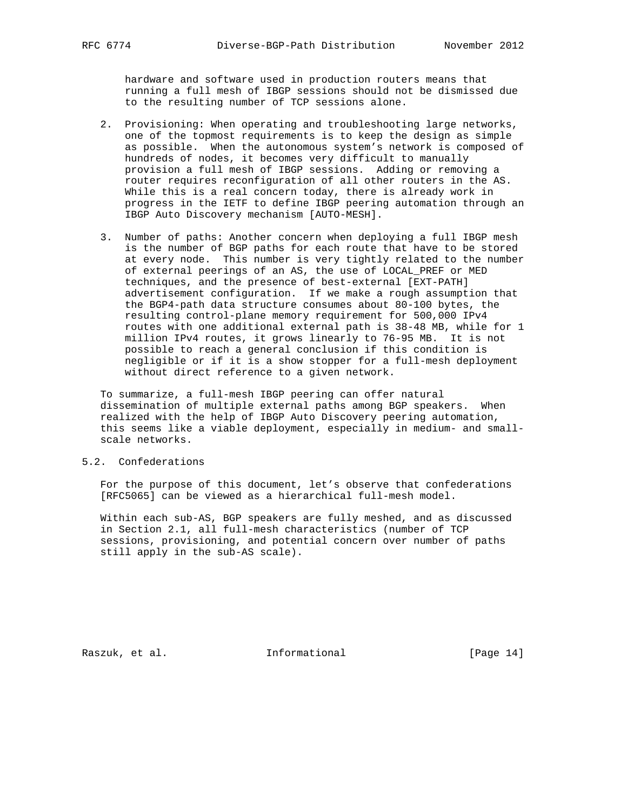hardware and software used in production routers means that running a full mesh of IBGP sessions should not be dismissed due to the resulting number of TCP sessions alone.

- 2. Provisioning: When operating and troubleshooting large networks, one of the topmost requirements is to keep the design as simple as possible. When the autonomous system's network is composed of hundreds of nodes, it becomes very difficult to manually provision a full mesh of IBGP sessions. Adding or removing a router requires reconfiguration of all other routers in the AS. While this is a real concern today, there is already work in progress in the IETF to define IBGP peering automation through an IBGP Auto Discovery mechanism [AUTO-MESH].
- 3. Number of paths: Another concern when deploying a full IBGP mesh is the number of BGP paths for each route that have to be stored at every node. This number is very tightly related to the number of external peerings of an AS, the use of LOCAL\_PREF or MED techniques, and the presence of best-external [EXT-PATH] advertisement configuration. If we make a rough assumption that the BGP4-path data structure consumes about 80-100 bytes, the resulting control-plane memory requirement for 500,000 IPv4 routes with one additional external path is 38-48 MB, while for 1 million IPv4 routes, it grows linearly to 76-95 MB. It is not possible to reach a general conclusion if this condition is negligible or if it is a show stopper for a full-mesh deployment without direct reference to a given network.

 To summarize, a full-mesh IBGP peering can offer natural dissemination of multiple external paths among BGP speakers. When realized with the help of IBGP Auto Discovery peering automation, this seems like a viable deployment, especially in medium- and small scale networks.

# 5.2. Confederations

 For the purpose of this document, let's observe that confederations [RFC5065] can be viewed as a hierarchical full-mesh model.

 Within each sub-AS, BGP speakers are fully meshed, and as discussed in Section 2.1, all full-mesh characteristics (number of TCP sessions, provisioning, and potential concern over number of paths still apply in the sub-AS scale).

Raszuk, et al. 10. Informational [Page 14]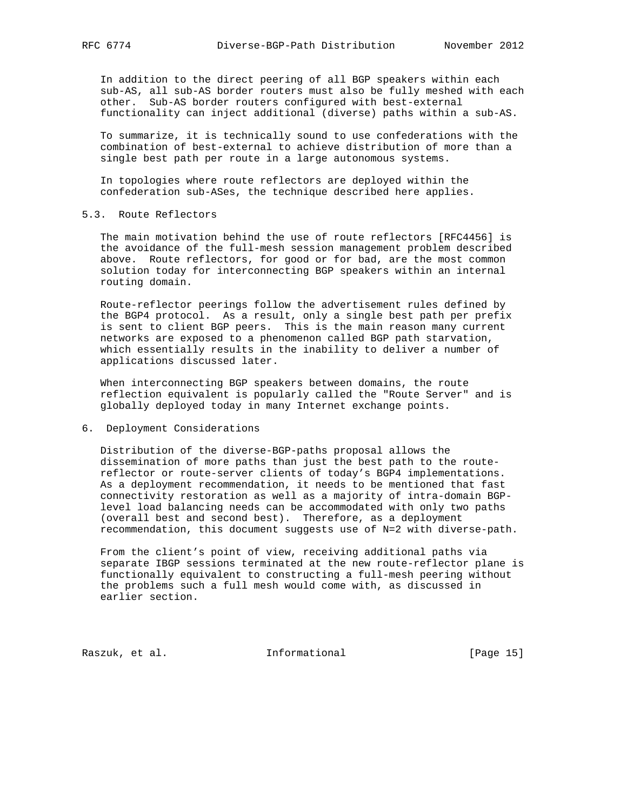In addition to the direct peering of all BGP speakers within each sub-AS, all sub-AS border routers must also be fully meshed with each other. Sub-AS border routers configured with best-external functionality can inject additional (diverse) paths within a sub-AS.

 To summarize, it is technically sound to use confederations with the combination of best-external to achieve distribution of more than a single best path per route in a large autonomous systems.

 In topologies where route reflectors are deployed within the confederation sub-ASes, the technique described here applies.

5.3. Route Reflectors

 The main motivation behind the use of route reflectors [RFC4456] is the avoidance of the full-mesh session management problem described above. Route reflectors, for good or for bad, are the most common solution today for interconnecting BGP speakers within an internal routing domain.

 Route-reflector peerings follow the advertisement rules defined by the BGP4 protocol. As a result, only a single best path per prefix is sent to client BGP peers. This is the main reason many current networks are exposed to a phenomenon called BGP path starvation, which essentially results in the inability to deliver a number of applications discussed later.

 When interconnecting BGP speakers between domains, the route reflection equivalent is popularly called the "Route Server" and is globally deployed today in many Internet exchange points.

6. Deployment Considerations

 Distribution of the diverse-BGP-paths proposal allows the dissemination of more paths than just the best path to the route reflector or route-server clients of today's BGP4 implementations. As a deployment recommendation, it needs to be mentioned that fast connectivity restoration as well as a majority of intra-domain BGP level load balancing needs can be accommodated with only two paths (overall best and second best). Therefore, as a deployment recommendation, this document suggests use of N=2 with diverse-path.

 From the client's point of view, receiving additional paths via separate IBGP sessions terminated at the new route-reflector plane is functionally equivalent to constructing a full-mesh peering without the problems such a full mesh would come with, as discussed in earlier section.

Raszuk, et al. 10. Informational [Page 15]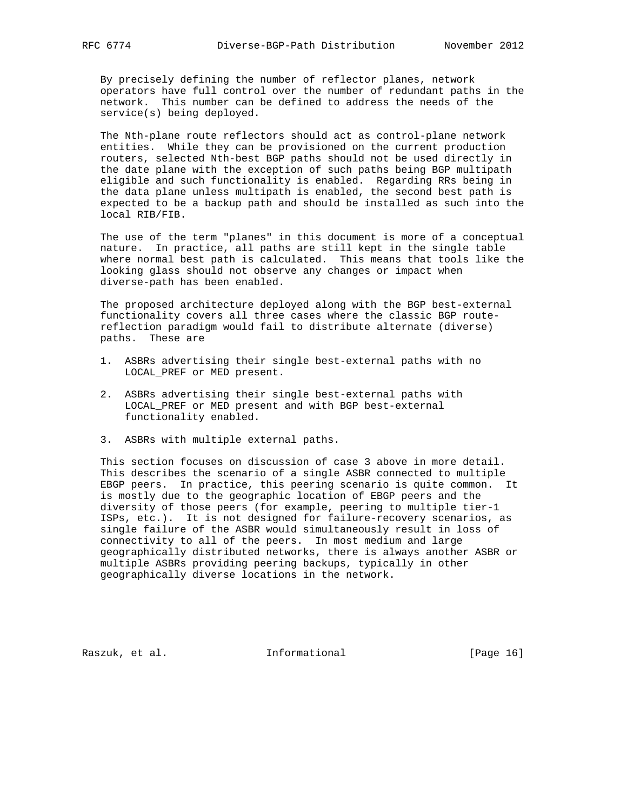By precisely defining the number of reflector planes, network operators have full control over the number of redundant paths in the network. This number can be defined to address the needs of the service(s) being deployed.

 The Nth-plane route reflectors should act as control-plane network entities. While they can be provisioned on the current production routers, selected Nth-best BGP paths should not be used directly in the date plane with the exception of such paths being BGP multipath eligible and such functionality is enabled. Regarding RRs being in the data plane unless multipath is enabled, the second best path is expected to be a backup path and should be installed as such into the local RIB/FIB.

 The use of the term "planes" in this document is more of a conceptual nature. In practice, all paths are still kept in the single table where normal best path is calculated. This means that tools like the looking glass should not observe any changes or impact when diverse-path has been enabled.

 The proposed architecture deployed along with the BGP best-external functionality covers all three cases where the classic BGP route reflection paradigm would fail to distribute alternate (diverse) paths. These are

- 1. ASBRs advertising their single best-external paths with no LOCAL\_PREF or MED present.
- 2. ASBRs advertising their single best-external paths with LOCAL\_PREF or MED present and with BGP best-external functionality enabled.
- 3. ASBRs with multiple external paths.

 This section focuses on discussion of case 3 above in more detail. This describes the scenario of a single ASBR connected to multiple EBGP peers. In practice, this peering scenario is quite common. It is mostly due to the geographic location of EBGP peers and the diversity of those peers (for example, peering to multiple tier-1 ISPs, etc.). It is not designed for failure-recovery scenarios, as single failure of the ASBR would simultaneously result in loss of connectivity to all of the peers. In most medium and large geographically distributed networks, there is always another ASBR or multiple ASBRs providing peering backups, typically in other geographically diverse locations in the network.

Raszuk, et al. 10 mm informational [Page 16]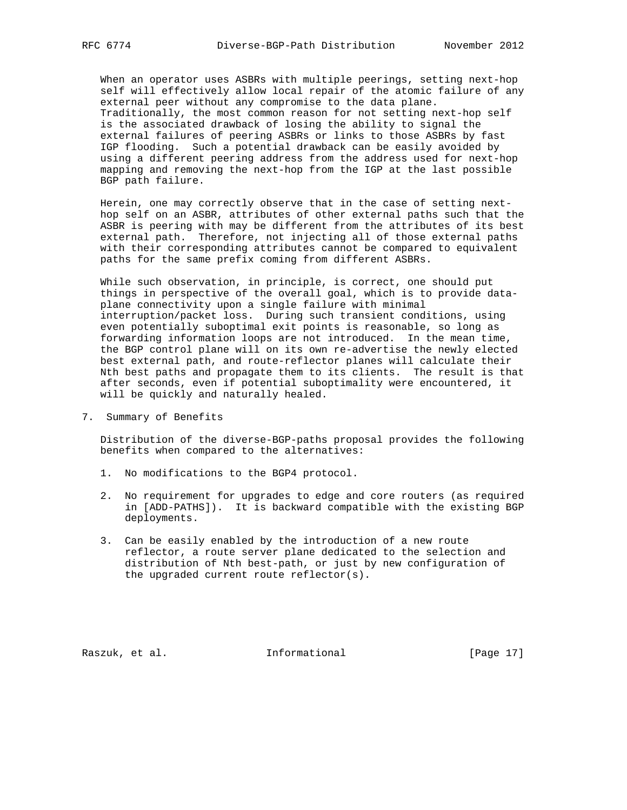When an operator uses ASBRs with multiple peerings, setting next-hop self will effectively allow local repair of the atomic failure of any external peer without any compromise to the data plane. Traditionally, the most common reason for not setting next-hop self is the associated drawback of losing the ability to signal the external failures of peering ASBRs or links to those ASBRs by fast IGP flooding. Such a potential drawback can be easily avoided by using a different peering address from the address used for next-hop mapping and removing the next-hop from the IGP at the last possible BGP path failure.

 Herein, one may correctly observe that in the case of setting next hop self on an ASBR, attributes of other external paths such that the ASBR is peering with may be different from the attributes of its best external path. Therefore, not injecting all of those external paths with their corresponding attributes cannot be compared to equivalent paths for the same prefix coming from different ASBRs.

 While such observation, in principle, is correct, one should put things in perspective of the overall goal, which is to provide data plane connectivity upon a single failure with minimal interruption/packet loss. During such transient conditions, using even potentially suboptimal exit points is reasonable, so long as forwarding information loops are not introduced. In the mean time, the BGP control plane will on its own re-advertise the newly elected best external path, and route-reflector planes will calculate their Nth best paths and propagate them to its clients. The result is that after seconds, even if potential suboptimality were encountered, it will be quickly and naturally healed.

7. Summary of Benefits

 Distribution of the diverse-BGP-paths proposal provides the following benefits when compared to the alternatives:

- 1. No modifications to the BGP4 protocol.
- 2. No requirement for upgrades to edge and core routers (as required in [ADD-PATHS]). It is backward compatible with the existing BGP deployments.
- 3. Can be easily enabled by the introduction of a new route reflector, a route server plane dedicated to the selection and distribution of Nth best-path, or just by new configuration of the upgraded current route reflector(s).

Raszuk, et al. 10. Informational [Page 17]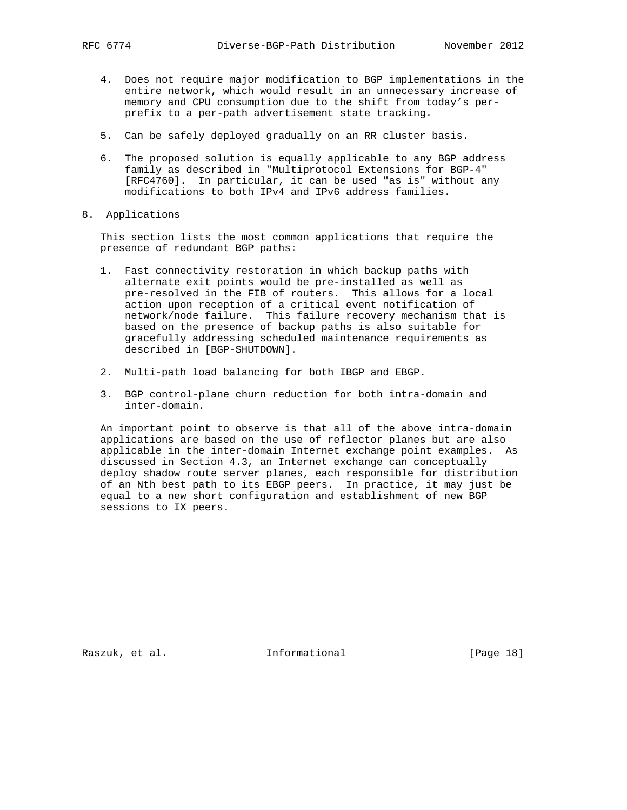- 4. Does not require major modification to BGP implementations in the entire network, which would result in an unnecessary increase of memory and CPU consumption due to the shift from today's per prefix to a per-path advertisement state tracking.
- 5. Can be safely deployed gradually on an RR cluster basis.
- 6. The proposed solution is equally applicable to any BGP address family as described in "Multiprotocol Extensions for BGP-4" [RFC4760]. In particular, it can be used "as is" without any modifications to both IPv4 and IPv6 address families.
- 8. Applications

 This section lists the most common applications that require the presence of redundant BGP paths:

- 1. Fast connectivity restoration in which backup paths with alternate exit points would be pre-installed as well as pre-resolved in the FIB of routers. This allows for a local action upon reception of a critical event notification of network/node failure. This failure recovery mechanism that is based on the presence of backup paths is also suitable for gracefully addressing scheduled maintenance requirements as described in [BGP-SHUTDOWN].
- 2. Multi-path load balancing for both IBGP and EBGP.
- 3. BGP control-plane churn reduction for both intra-domain and inter-domain.

 An important point to observe is that all of the above intra-domain applications are based on the use of reflector planes but are also applicable in the inter-domain Internet exchange point examples. As discussed in Section 4.3, an Internet exchange can conceptually deploy shadow route server planes, each responsible for distribution of an Nth best path to its EBGP peers. In practice, it may just be equal to a new short configuration and establishment of new BGP sessions to IX peers.

Raszuk, et al. 10 Informational [Page 18]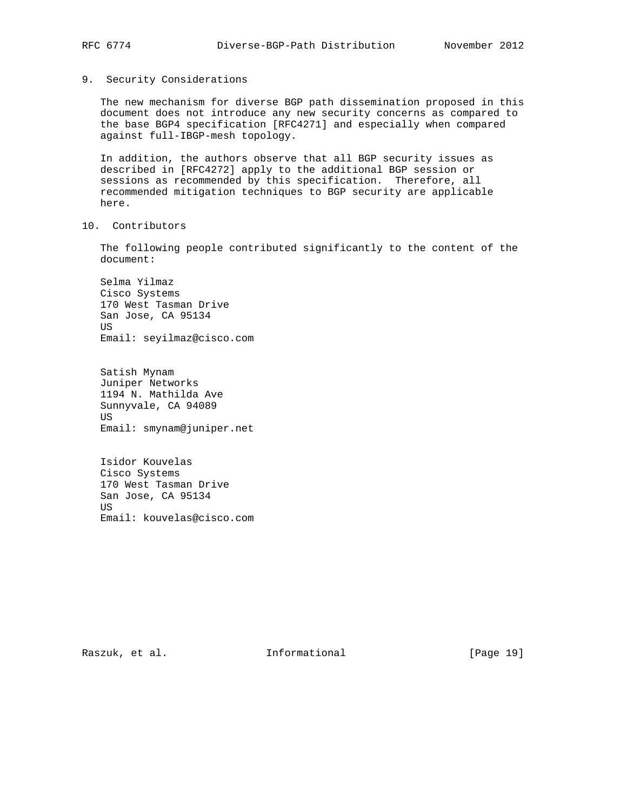## 9. Security Considerations

 The new mechanism for diverse BGP path dissemination proposed in this document does not introduce any new security concerns as compared to the base BGP4 specification [RFC4271] and especially when compared against full-IBGP-mesh topology.

 In addition, the authors observe that all BGP security issues as described in [RFC4272] apply to the additional BGP session or sessions as recommended by this specification. Therefore, all recommended mitigation techniques to BGP security are applicable here.

10. Contributors

 The following people contributed significantly to the content of the document:

 Selma Yilmaz Cisco Systems 170 West Tasman Drive San Jose, CA 95134 US Email: seyilmaz@cisco.com

 Satish Mynam Juniper Networks 1194 N. Mathilda Ave Sunnyvale, CA 94089 US Email: smynam@juniper.net

 Isidor Kouvelas Cisco Systems 170 West Tasman Drive San Jose, CA 95134 **TIS** Email: kouvelas@cisco.com

Raszuk, et al. 10 mm informational [Page 19]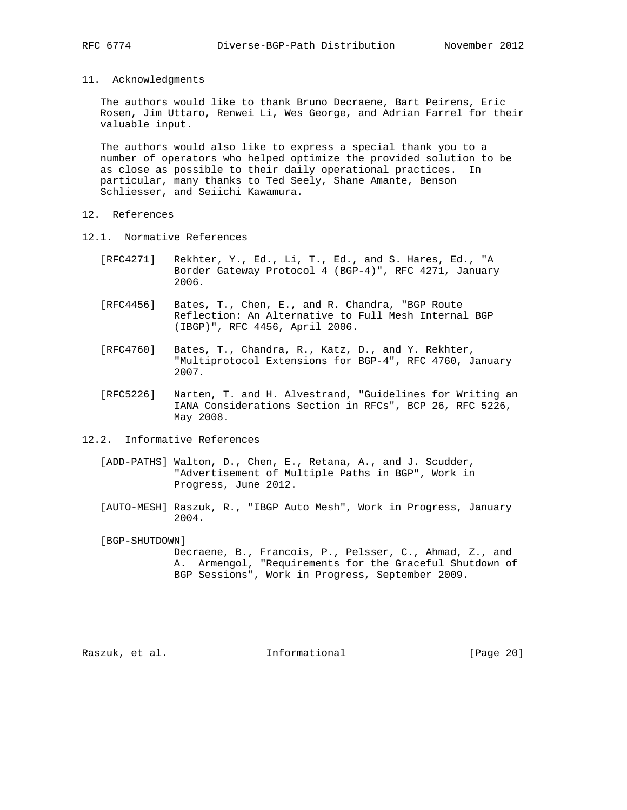11. Acknowledgments

 The authors would like to thank Bruno Decraene, Bart Peirens, Eric Rosen, Jim Uttaro, Renwei Li, Wes George, and Adrian Farrel for their valuable input.

 The authors would also like to express a special thank you to a number of operators who helped optimize the provided solution to be as close as possible to their daily operational practices. In particular, many thanks to Ted Seely, Shane Amante, Benson Schliesser, and Seiichi Kawamura.

- 12. References
- 12.1. Normative References
	- [RFC4271] Rekhter, Y., Ed., Li, T., Ed., and S. Hares, Ed., "A Border Gateway Protocol 4 (BGP-4)", RFC 4271, January 2006.
	- [RFC4456] Bates, T., Chen, E., and R. Chandra, "BGP Route Reflection: An Alternative to Full Mesh Internal BGP (IBGP)", RFC 4456, April 2006.
	- [RFC4760] Bates, T., Chandra, R., Katz, D., and Y. Rekhter, "Multiprotocol Extensions for BGP-4", RFC 4760, January 2007.
	- [RFC5226] Narten, T. and H. Alvestrand, "Guidelines for Writing an IANA Considerations Section in RFCs", BCP 26, RFC 5226, May 2008.
- 12.2. Informative References
	- [ADD-PATHS] Walton, D., Chen, E., Retana, A., and J. Scudder, "Advertisement of Multiple Paths in BGP", Work in Progress, June 2012.
	- [AUTO-MESH] Raszuk, R., "IBGP Auto Mesh", Work in Progress, January 2004.
	- [BGP-SHUTDOWN]

 Decraene, B., Francois, P., Pelsser, C., Ahmad, Z., and A. Armengol, "Requirements for the Graceful Shutdown of BGP Sessions", Work in Progress, September 2009.

Raszuk, et al. 1nformational [Page 20]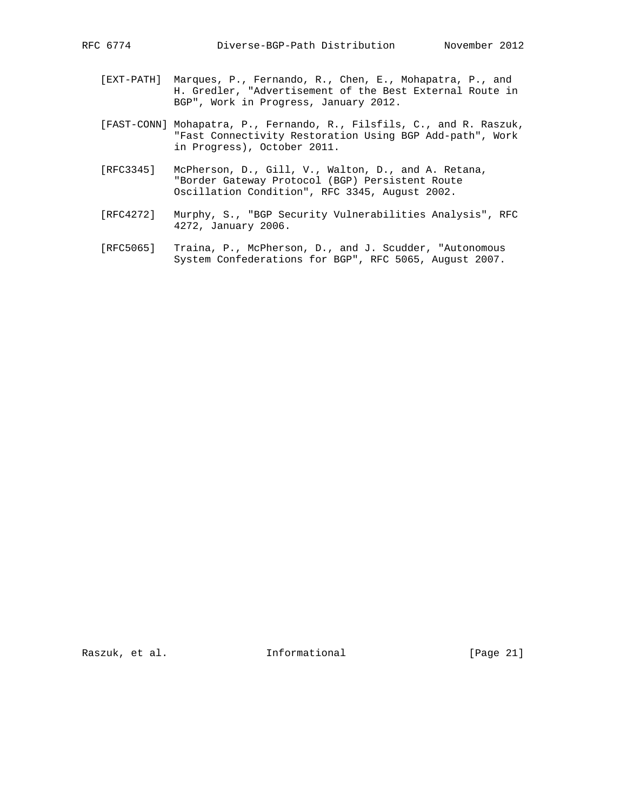- [EXT-PATH] Marques, P., Fernando, R., Chen, E., Mohapatra, P., and H. Gredler, "Advertisement of the Best External Route in BGP", Work in Progress, January 2012.
- [FAST-CONN] Mohapatra, P., Fernando, R., Filsfils, C., and R. Raszuk, "Fast Connectivity Restoration Using BGP Add-path", Work in Progress), October 2011.
- [RFC3345] McPherson, D., Gill, V., Walton, D., and A. Retana, "Border Gateway Protocol (BGP) Persistent Route Oscillation Condition", RFC 3345, August 2002.
- [RFC4272] Murphy, S., "BGP Security Vulnerabilities Analysis", RFC 4272, January 2006.
- [RFC5065] Traina, P., McPherson, D., and J. Scudder, "Autonomous System Confederations for BGP", RFC 5065, August 2007.